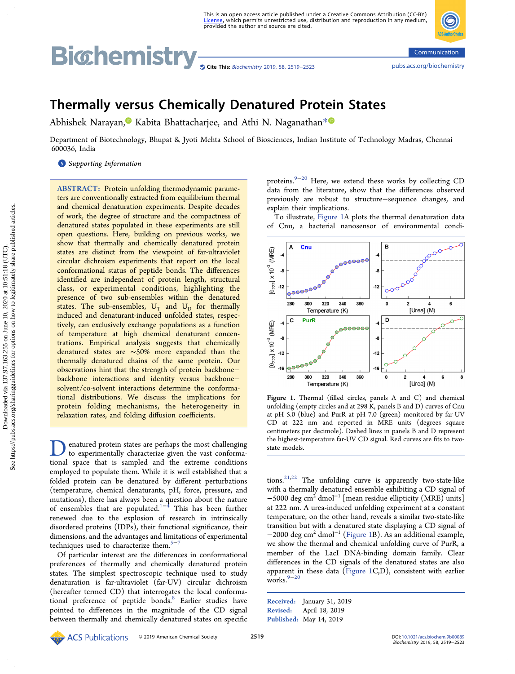# <span id="page-0-0"></span>Bichemistry <sub>Scite This: [Biochemistry](http://pubs.acs.org/action/showCitFormats?doi=10.1021/acs.biochem.9b00089) 2019, 58, 2519–2523</sub> communication <pubs.acs.org/biochemistry>



# Thermally versus Chemically Denatured Protein States

Abhishek Narayan[,](#page-2-0)<sup>1</sup> Kabita Bhattacharjee, and Athi N. Naganathan<sup>[\\*](#page-2-0)1</sup>

Department of Biotechnology, Bhupat & Jyoti Mehta School of Biosciences, Indian Institute of Technology Madras, Chennai 600036, India

# **S** [Supporting Information](#page-2-0)

ABSTRACT: Protein unfolding thermodynamic parameters are conventionally extracted from equilibrium thermal and chemical denaturation experiments. Despite decades of work, the degree of structure and the compactness of denatured states populated in these experiments are still open questions. Here, building on previous works, we show that thermally and chemically denatured protein states are distinct from the viewpoint of far-ultraviolet circular dichroism experiments that report on the local conformational status of peptide bonds. The differences identified are independent of protein length, structural class, or experimental conditions, highlighting the presence of two sub-ensembles within the denatured states. The sub-ensembles,  $U_T$  and  $U_D$  for thermally induced and denaturant-induced unfolded states, respectively, can exclusively exchange populations as a function of temperature at high chemical denaturant concentrations. Empirical analysis suggests that chemically denatured states are ∼50% more expanded than the thermally denatured chains of the same protein. Our observations hint that the strength of protein backbone− backbone interactions and identity versus backbone− solvent/co-solvent interactions determine the conformational distributions. We discuss the implications for protein folding mechanisms, the heterogeneity in relaxation rates, and folding diffusion coefficients.

**D**enatured protein states are perhaps the most challenging<br>to experimentally characterize given the vast conforma-<br>tional space, that is sampled and the extreme conditions tional space that is sampled and the extreme conditions employed to populate them. While it is well established that a folded protein can be denatured by different perturbations (temperature, chemical denaturants, pH, force, pressure, and mutations), there has always been a question about the nature of ensembles that are populated.<sup>[1](#page-2-0)−[4](#page-3-0)</sup> This has been further renewed due to the explosion of research in intrinsically disordered proteins (IDPs), their functional significance, their dimensions, and the advantages and limitations of experimental techniques used to characterize them.<sup>[5](#page-3-0)−</sup>

Of particular interest are the differences in conformational preferences of thermally and chemically denatured protein states. The simplest spectroscopic technique used to study denaturation is far-ultraviolet (far-UV) circular dichroism (hereafter termed CD) that interrogates the local conforma-tional preference of peptide bonds.<sup>[8](#page-3-0)</sup> Earlier studies have pointed to differences in the magnitude of the CD signal between thermally and chemically denatured states on specific proteins.[9](#page-3-0)−[20](#page-3-0) Here, we extend these works by collecting CD data from the literature, show that the differences observed previously are robust to structure−sequence changes, and explain their implications.

To illustrate, Figure 1A plots the thermal denaturation data of Cnu, a bacterial nanosensor of environmental condi-



Figure 1. Thermal (filled circles, panels A and C) and chemical unfolding (empty circles and at 298 K, panels B and D) curves of Cnu at pH 5.0 (blue) and PurR at pH 7.0 (green) monitored by far-UV CD at 222 nm and reported in MRE units (degrees square centimeters per decimole). Dashed lines in panels B and D represent the highest-temperature far-UV CD signal. Red curves are fits to twostate models.

tions.<sup>[21](#page-3-0),[22](#page-3-0)</sup> The unfolding curve is apparently two-state-like with a thermally denatured ensemble exhibiting a CD signal of  $-5000$  deg cm<sup>2</sup> dmol<sup>-1</sup> [mean residue ellipticity (MRE) units] at 222 nm. A urea-induced unfolding experiment at a constant temperature, on the other hand, reveals a similar two-state-like transition but with a denatured state displaying a CD signal of −2000 deg cm2 dmol<sup>−</sup><sup>1</sup> (Figure 1B). As an additional example, we show the thermal and chemical unfolding curve of PurR, a member of the LacI DNA-binding domain family. Clear differences in the CD signals of the denatured states are also apparent in these data (Figure 1C,D), consistent with earlier works.<sup>[9](#page-3-0)−[20](#page-3-0)</sup>

Received: January 31, 2019 Revised: April 18, 2019 Published: May 14, 2019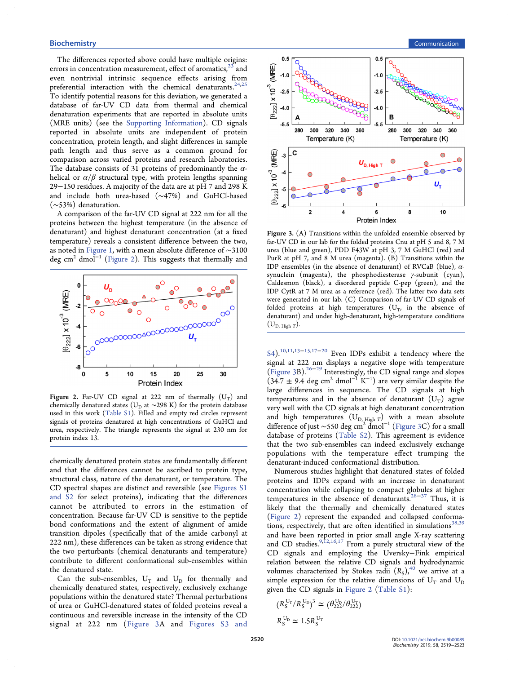The differences reported above could have multiple origins: errors in concentration measurement, effect of aromatics,  $23$  and even nontrivial intrinsic sequence effects arising from preferential interaction with the chemical denaturants.<sup>[24,25](#page-3-0)</sup> To identify potential reasons for this deviation, we generated a database of far-UV CD data from thermal and chemical denaturation experiments that are reported in absolute units (MRE units) (see the [Supporting Information](http://pubs.acs.org/doi/suppl/10.1021/acs.biochem.9b00089/suppl_file/bi9b00089_si_001.pdf)). CD signals reported in absolute units are independent of protein concentration, protein length, and slight differences in sample path length and thus serve as a common ground for comparison across varied proteins and research laboratories. The database consists of 31 proteins of predominantly the  $\alpha$ helical or  $\alpha/\beta$  structural type, with protein lengths spanning 29−150 residues. A majority of the data are at pH 7 and 298 K and include both urea-based (∼47%) and GuHCl-based (∼53%) denaturation.

A comparison of the far-UV CD signal at 222 nm for all the proteins between the highest temperature (in the absence of denaturant) and highest denaturant concentration (at a fixed temperature) reveals a consistent difference between the two, as noted in [Figure 1,](#page-0-0) with a mean absolute difference of ∼3100 deg cm<sup>2</sup> dmol<sup>-1</sup> (Figure 2). This suggests that thermally and



Figure 2. Far-UV CD signal at 222 nm of thermally  $(U_T)$  and chemically denatured states ( $U_D$  at ~298 K) for the protein database used in this work ([Table S1](http://pubs.acs.org/doi/suppl/10.1021/acs.biochem.9b00089/suppl_file/bi9b00089_si_001.pdf)). Filled and empty red circles represent signals of proteins denatured at high concentrations of GuHCl and urea, respectively. The triangle represents the signal at 230 nm for protein index 13.

chemically denatured protein states are fundamentally different and that the differences cannot be ascribed to protein type, structural class, nature of the denaturant, or temperature. The CD spectral shapes are distinct and reversible (see [Figures S1](http://pubs.acs.org/doi/suppl/10.1021/acs.biochem.9b00089/suppl_file/bi9b00089_si_001.pdf) [and S2](http://pubs.acs.org/doi/suppl/10.1021/acs.biochem.9b00089/suppl_file/bi9b00089_si_001.pdf) for select proteins), indicating that the differences cannot be attributed to errors in the estimation of concentration. Because far-UV CD is sensitive to the peptide bond conformations and the extent of alignment of amide transition dipoles (specifically that of the amide carbonyl at 222 nm), these differences can be taken as strong evidence that the two perturbants (chemical denaturants and temperature) contribute to different conformational sub-ensembles within the denatured state.

Can the sub-ensembles,  $U_T$  and  $U_D$  for thermally and chemically denatured states, respectively, exclusively exchange populations within the denatured state? Thermal perturbations of urea or GuHCl-denatured states of folded proteins reveal a continuous and reversible increase in the intensity of the CD signal at 222 nm (Figure 3A and [Figures S3 and](http://pubs.acs.org/doi/suppl/10.1021/acs.biochem.9b00089/suppl_file/bi9b00089_si_001.pdf)



Figure 3. (A) Transitions within the unfolded ensemble observed by far-UV CD in our lab for the folded proteins Cnu at pH 5 and 8, 7 M urea (blue and green), PDD F43W at pH 3, 7 M GuHCl (red) and PurR at pH 7, and 8 M urea (magenta). (B) Transitions within the IDP ensembles (in the absence of denaturant) of RVCaB (blue),  $\alpha$ synuclein (magenta), the phosphodiesterase γ-subunit (cyan), Caldesmon (black), a disordered peptide C-pep (green), and the IDP CytR at 7 M urea as a reference (red). The latter two data sets were generated in our lab. (C) Comparison of far-UV CD signals of folded proteins at high temperatures  $(U_T)$ , in the absence of denaturant) and under high-denaturant, high-temperature conditions  $(U_{D, High T}).$ 

[S4](http://pubs.acs.org/doi/suppl/10.1021/acs.biochem.9b00089/suppl_file/bi9b00089_si_001.pdf)).<sup>[10](#page-3-0),[11,13](#page-3-0)–[15,17](#page-3-0)–[20](#page-3-0)</sup> Even IDPs exhibit a tendency where the signal at 222 nm displays a negative slope with temperature (Figure 3B)[.26](#page-3-0)<sup>−</sup>[29](#page-3-0) Interestingly, the CD signal range and slopes  $(34.7 \pm 9.4 \text{ deg cm}^2 \text{ d} \text{mol}^{-1} \text{ K}^{-1})$  are very similar despite the large differences in sequence. The CD signals at high temperatures and in the absence of denaturant  $(U_T)$  agree very well with the CD signals at high denaturant concentration and high temperatures  $(\mathrm{U}_{\mathrm{D},\, \mathrm{High}\; T})$  with a mean absolute difference of just ~550 deg cm<sup>2</sup> dmol<sup>-1</sup> (Figure 3C) for a small database of proteins [\(Table S2\)](http://pubs.acs.org/doi/suppl/10.1021/acs.biochem.9b00089/suppl_file/bi9b00089_si_001.pdf). This agreement is evidence that the two sub-ensembles can indeed exclusively exchange populations with the temperature effect trumping the denaturant-induced conformational distribution.

Numerous studies highlight that denatured states of folded proteins and IDPs expand with an increase in denaturant concentration while collapsing to compact globules at higher temperatures in the absence of denaturants.<sup>228−[37](#page-3-0)</sup> Thus, it is likely that the thermally and chemically denatured states (Figure 2) represent the expanded and collapsed conforma-tions, respectively, that are often identified in simulations<sup>[38,39](#page-3-0)</sup> and have been reported in prior small angle X-ray scattering and CD studies.  $9,12,16,17$  $9,12,16,17$  $9,12,16,17$  $9,12,16,17$  $9,12,16,17$  From a purely structural view of the CD signals and employing the Uversky−Fink empirical relation between the relative CD signals and hydrodynamic volumes characterized by Stokes radii  $(R<sub>S</sub>)$ ,<sup>40</sup> we arrive at a simple expression for the relative dimensions of  $U_T$  and  $U_D$ given the CD signals in Figure 2 [\(Table S1](http://pubs.acs.org/doi/suppl/10.1021/acs.biochem.9b00089/suppl_file/bi9b00089_si_001.pdf)):

$$
(R_S^{\mathrm{U_T}}/R_S^{\mathrm{U_D}})^3 \simeq (\theta_{222}^{\mathrm{U_D}}/\theta_{222}^{\mathrm{U_T}})
$$
  

$$
R_S^{\mathrm{U_D}} \simeq 1.5 R_S^{\mathrm{U_T}}
$$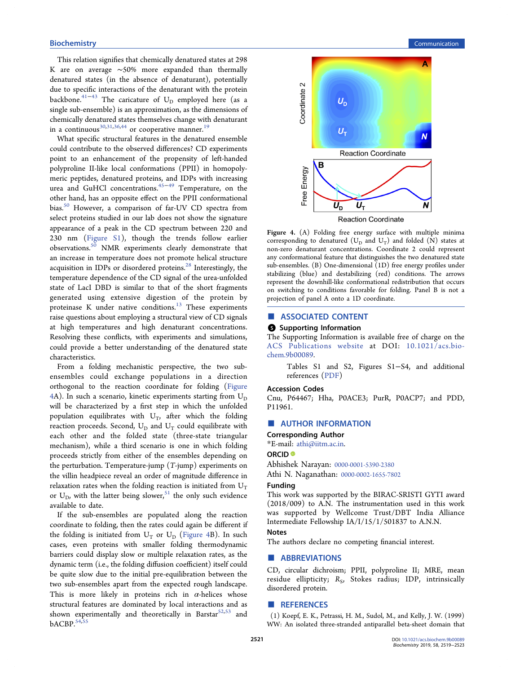This relation signifies that chemically denatured states at 298 K are on average ∼50% more expanded than thermally denatured states (in the absence of denaturant), potentially due to specific interactions of the denaturant with the protein backbone.<sup>41−[43](#page-4-0)</sup> The caricature of U<sub>D</sub> employed here (as a single sub-ensemble) is an approximation, as the dimensions of chemically denatured states themselves change with denaturant in a continuous<sup>[30](#page-3-0),[31,36](#page-3-0)[,44](#page-4-0)</sup> or cooperative manner.<sup>19</sup>

What specific structural features in the denatured ensemble could contribute to the observed differences? CD experiments point to an enhancement of the propensity of left-handed polyproline II-like local conformations (PPII) in homopolymeric peptides, denatured proteins, and IDPs with increasing urea and GuHCl concentrations.[45](#page-4-0)−[49](#page-4-0) Temperature, on the other hand, has an opposite effect on the PPII conformational bias.<sup>50</sup> However, a comparison of far-UV CD spectra from select proteins studied in our lab does not show the signature appearance of a peak in the CD spectrum between 220 and 230 nm ([Figure S1](http://pubs.acs.org/doi/suppl/10.1021/acs.biochem.9b00089/suppl_file/bi9b00089_si_001.pdf)), though the trends follow earlier observations.<sup>50</sup> NMR experiments clearly demonstrate that an increase in temperature does not promote helical structure acquisition in IDPs or disordered proteins. $^{28}$  Interestingly, the temperature dependence of the CD signal of the urea-unfolded state of LacI DBD is similar to that of the short fragments generated using extensive digestion of the protein by proteinase K under native conditions. $13$  These experiments raise questions about employing a structural view of CD signals at high temperatures and high denaturant concentrations. Resolving these conflicts, with experiments and simulations, could provide a better understanding of the denatured state characteristics.

From a folding mechanistic perspective, the two subensembles could exchange populations in a direction orthogonal to the reaction coordinate for folding (Figure 4A). In such a scenario, kinetic experiments starting from  $U_D$ will be characterized by a first step in which the unfolded population equilibrates with  $U_T$ , after which the folding reaction proceeds. Second,  $U_D$  and  $U_T$  could equilibrate with each other and the folded state (three-state triangular mechanism), while a third scenario is one in which folding proceeds strictly from either of the ensembles depending on the perturbation. Temperature-jump  $(T\text{-jump})$  experiments on the villin headpiece reveal an order of magnitude difference in relaxation rates when the folding reaction is initiated from  $U_T$ or  $U_D$ , with the latter being slower,<sup>[51](#page-4-0)</sup> the only such evidence available to date.

If the sub-ensembles are populated along the reaction coordinate to folding, then the rates could again be different if the folding is initiated from  $U_T$  or  $U_D$  (Figure 4B). In such cases, even proteins with smaller folding thermodynamic barriers could display slow or multiple relaxation rates, as the dynamic term (i.e., the folding diffusion coefficient) itself could be quite slow due to the initial pre-equilibration between the two sub-ensembles apart from the expected rough landscape. This is more likely in proteins rich in  $\alpha$ -helices whose structural features are dominated by local interactions and as shown experimentally and theoretically in Barstar $52,53$  and bACBP.<sup>54,55</sup>

<span id="page-2-0"></span>

Figure 4. (A) Folding free energy surface with multiple minima corresponding to denatured ( $U_D$  and  $U_T$ ) and folded (N) states at non-zero denaturant concentrations. Coordinate 2 could represent any conformational feature that distinguishes the two denatured state sub-ensembles.  $(B)$  One-dimensional  $(1D)$  free energy profiles under stabilizing (blue) and destabilizing (red) conditions. The arrows represent the downhill-like conformational redistribution that occurs on switching to conditions favorable for folding. Panel B is not a projection of panel A onto a 1D coordinate.

# ■ ASSOCIATED CONTENT

# **6** Supporting Information

The Supporting Information is available free of charge on the [ACS Publications website](http://pubs.acs.org) at DOI: [10.1021/acs.bio](http://pubs.acs.org/doi/abs/10.1021/acs.biochem.9b00089)[chem.9b00089.](http://pubs.acs.org/doi/abs/10.1021/acs.biochem.9b00089)

> Tables S1 and S2, Figures S1−S4, and additional references [\(PDF](http://pubs.acs.org/doi/suppl/10.1021/acs.biochem.9b00089/suppl_file/bi9b00089_si_001.pdf))

#### Accession Codes

Cnu, P64467; Hha, P0ACE3; PurR, P0ACP7; and PDD, P11961.

# ■ AUTHOR INFORMATION

Corresponding Author

\*E-mail: [athi@iitm.ac.in.](mailto:athi@iitm.ac.in)

#### ORCID<sup>®</sup>

Abhishek Narayan: [0000-0001-5390-2380](http://orcid.org/0000-0001-5390-2380) Athi N. Naganathan: [0000-0002-1655-7802](http://orcid.org/0000-0002-1655-7802)

#### Funding

This work was supported by the BIRAC-SRISTI GYTI award (2018/009) to A.N. The instrumentation used in this work was supported by Wellcome Trust/DBT India Alliance Intermediate Fellowship IA/I/15/1/501837 to A.N.N.

#### Notes

The authors declare no competing financial interest.

#### ■ ABBREVIATIONS

CD, circular dichroism; PPII, polyproline II; MRE, mean residue ellipticity;  $R<sub>S</sub>$ , Stokes radius; IDP, intrinsically disordered protein.

# ■ REFERENCES

(1) Koepf, E. K., Petrassi, H. M., Sudol, M., and Kelly, J. W. (1999) WW: An isolated three-stranded antiparallel beta-sheet domain that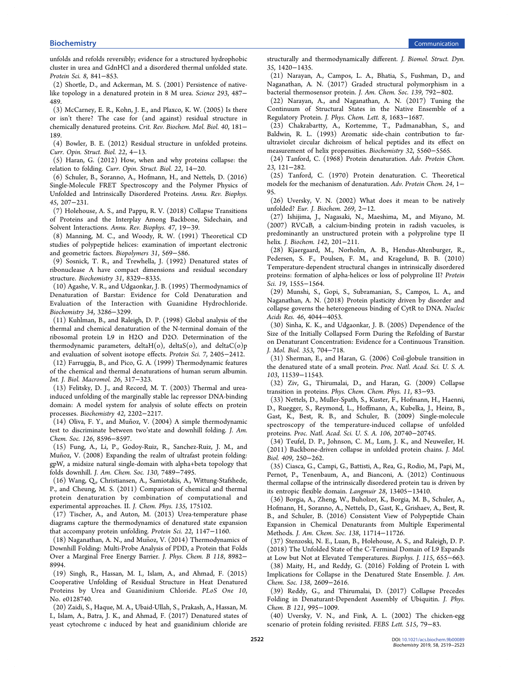<span id="page-3-0"></span>unfolds and refolds reversibly; evidence for a structured hydrophobic cluster in urea and GdnHCl and a disordered thermal unfolded state. Protein Sci. 8, 841−853.

(2) Shortle, D., and Ackerman, M. S. (2001) Persistence of nativelike topology in a denatured protein in 8 M urea. Science 293, 487− 489.

(3) McCarney, E. R., Kohn, J. E., and Plaxco, K. W. (2005) Is there or isn't there? The case for (and against) residual structure in chemically denatured proteins. Crit. Rev. Biochem. Mol. Biol. 40, 181− 189.

(4) Bowler, B. E. (2012) Residual structure in unfolded proteins. Curr. Opin. Struct. Biol. 22, 4−13.

(5) Haran, G. (2012) How, when and why proteins collapse: the relation to folding. Curr. Opin. Struct. Biol. 22, 14−20.

(6) Schuler, B., Soranno, A., Hofmann, H., and Nettels, D. (2016) Single-Molecule FRET Spectroscopy and the Polymer Physics of Unfolded and Intrinsically Disordered Proteins. Annu. Rev. Biophys. 45, 207−231.

(7) Holehouse, A. S., and Pappu, R. V. (2018) Collapse Transitions of Proteins and the Interplay Among Backbone, Sidechain, and Solvent Interactions. Annu. Rev. Biophys. 47, 19−39.

(8) Manning, M. C., and Woody, R. W. (1991) Theoretical CD studies of polypeptide helices: examination of important electronic and geometric factors. Biopolymers 31, 569−586.

(9) Sosnick, T. R., and Trewhella, J. (1992) Denatured states of ribonuclease A have compact dimensions and residual secondary structure. Biochemistry 31, 8329−8335.

(10) Agashe, V. R., and Udgaonkar, J. B. (1995) Thermodynamics of Denaturation of Barstar: Evidence for Cold Denaturation and Evaluation of the Interaction with Guanidine Hydrochloride. Biochemistry 34, 3286−3299.

(11) Kuhlman, B., and Raleigh, D. P. (1998) Global analysis of the thermal and chemical denaturation of the N-terminal domain of the ribosomal protein L9 in H2O and D2O. Determination of the thermodynamic parameters, delta $H(o)$ , delta $S(o)$ , and delta $C(o)p$ and evaluation of solvent isotope effects. Protein Sci. 7, 2405−2412.

(12) Farruggia, B., and Pico, G. A. (1999) Thermodynamic features of the chemical and thermal denaturations of human serum albumin. Int. J. Biol. Macromol. 26, 317−323.

(13) Felitsky, D. J., and Record, M. T. (2003) Thermal and ureainduced unfolding of the marginally stable lac repressor DNA-binding domain: A model system for analysis of solute effects on protein processes. Biochemistry 42, 2202−2217.

(14) Oliva, F. Y., and Muñoz, V. (2004) A simple thermodynamic test to discriminate between two'state and downhill folding. J. Am. Chem. Soc. 126, 8596−8597.

(15) Fung, A., Li, P., Godoy-Ruiz, R., Sanchez-Ruiz, J. M., and Muñoz, V. (2008) Expanding the realm of ultrafast protein folding: gpW, a midsize natural single-domain with alpha+beta topology that folds downhill. J. Am. Chem. Soc. 130, 7489−7495.

(16) Wang, Q., Christiansen, A., Samiotakis, A., Wittung-Stafshede, P., and Cheung, M. S. (2011) Comparison of chemical and thermal protein denaturation by combination of computational and experimental approaches. II. J. Chem. Phys. 135, 175102.

(17) Tischer, A., and Auton, M. (2013) Urea-temperature phase diagrams capture the thermodynamics of denatured state expansion that accompany protein unfolding. Protein Sci. 22, 1147−1160.

(18) Naganathan, A. N., and Muñoz, V. (2014) Thermodynamics of Downhill Folding: Multi-Probe Analysis of PDD, a Protein that Folds Over a Marginal Free Energy Barrier. J. Phys. Chem. B 118, 8982− 8994.

(19) Singh, R., Hassan, M. I., Islam, A., and Ahmad, F. (2015) Cooperative Unfolding of Residual Structure in Heat Denatured Proteins by Urea and Guanidinium Chloride. PLoS One 10, No. e0128740.

(20) Zaidi, S., Haque, M. A., Ubaid-Ullah, S., Prakash, A., Hassan, M. I., Islam, A., Batra, J. K., and Ahmad, F. (2017) Denatured states of yeast cytochrome c induced by heat and guanidinium chloride are

structurally and thermodynamically different. J. Biomol. Struct. Dyn. 35, 1420−1435.

(21) Narayan, A., Campos, L. A., Bhatia, S., Fushman, D., and Naganathan, A. N. (2017) Graded structural polymorphism in a bacterial thermosensor protein. J. Am. Chem. Soc. 139, 792−802.

(22) Narayan, A., and Naganathan, A. N. (2017) Tuning the Continuum of Structural States in the Native Ensemble of a Regulatory Protein. J. Phys. Chem. Lett. 8, 1683−1687.

(23) Chakrabartty, A., Kortemme, T., Padmanabhan, S., and Baldwin, R. L. (1993) Aromatic side-chain contribution to farultraviolet circular dichroism of helical peptides and its effect on measurement of helix propensities. Biochemistry 32, 5560−5565.

(24) Tanford, C. (1968) Protein denaturation. Adv. Protein Chem. 23, 121−282.

(25) Tanford, C. (1970) Protein denaturation. C. Theoretical models for the mechanism of denaturation. Adv. Protein Chem. 24, 1− 95.

(26) Uversky, V. N. (2002) What does it mean to be natively unfolded? Eur. J. Biochem. 269, 2−12.

(27) Ishijima, J., Nagasaki, N., Maeshima, M., and Miyano, M. (2007) RVCaB, a calcium-binding protein in radish vacuoles, is predominantly an unstructured protein with a polyproline type II helix. J. Biochem. 142, 201−211.

(28) Kjaergaard, M., Norholm, A. B., Hendus-Altenburger, R., Pedersen, S. F., Poulsen, F. M., and Kragelund, B. B. (2010) Temperature-dependent structural changes in intrinsically disordered proteins: formation of alpha-helices or loss of polyproline II? Protein Sci. 19, 1555−1564.

(29) Munshi, S., Gopi, S., Subramanian, S., Campos, L. A., and Naganathan, A. N. (2018) Protein plasticity driven by disorder and collapse governs the heterogeneous binding of CytR to DNA. Nucleic Acids Res. 46, 4044−4053.

(30) Sinha, K. K., and Udgaonkar, J. B. (2005) Dependence of the Size of the Initially Collapsed Form During the Refolding of Barstar on Denaturant Concentration: Evidence for a Continuous Transition. J. Mol. Biol. 353, 704−718.

(31) Sherman, E., and Haran, G. (2006) Coil-globule transition in the denatured state of a small protein. Proc. Natl. Acad. Sci. U. S. A. 103, 11539−11543.

(32) Ziv, G., Thirumalai, D., and Haran, G. (2009) Collapse transition in proteins. Phys. Chem. Chem. Phys. 11, 83−93.

(33) Nettels, D., Muller-Spath, S., Kuster, F., Hofmann, H., Haenni, D., Ruegger, S., Reymond, L., Hoffmann, A., Kubelka, J., Heinz, B., Gast, K., Best, R. B., and Schuler, B. (2009) Single-molecule spectroscopy of the temperature-induced collapse of unfolded proteins. Proc. Natl. Acad. Sci. U. S. A. 106, 20740−20745.

(34) Teufel, D. P., Johnson, C. M., Lum, J. K., and Neuweiler, H. (2011) Backbone-driven collapse in unfolded protein chains. J. Mol. Biol. 409, 250−262.

(35) Ciasca, G., Campi, G., Battisti, A., Rea, G., Rodio, M., Papi, M., Pernot, P., Tenenbaum, A., and Bianconi, A. (2012) Continuous thermal collapse of the intrinsically disordered protein tau is driven by its entropic flexible domain. Langmuir 28, 13405−13410.

(36) Borgia, A., Zheng, W., Buholzer, K., Borgia, M. B., Schuler, A., Hofmann, H., Soranno, A., Nettels, D., Gast, K., Grishaev, A., Best, R. B., and Schuler, B. (2016) Consistent View of Polypeptide Chain Expansion in Chemical Denaturants from Multiple Experimental Methods. J. Am. Chem. Soc. 138, 11714−11726.

(37) Stenzoski, N. E., Luan, B., Holehouse, A. S., and Raleigh, D. P. (2018) The Unfolded State of the C-Terminal Domain of L9 Expands at Low but Not at Elevated Temperatures. Biophys. J. 115, 655−663. (38) Maity, H., and Reddy, G. (2016) Folding of Protein L with Implications for Collapse in the Denatured State Ensemble. J. Am. Chem. Soc. 138, 2609−2616.

(39) Reddy, G., and Thirumalai, D. (2017) Collapse Precedes Folding in Denaturant-Dependent Assembly of Ubiquitin. J. Phys. Chem. B 121, 995−1009.

(40) Uversky, V. N., and Fink, A. L. (2002) The chicken-egg scenario of protein folding revisited. FEBS Lett. 515, 79−83.